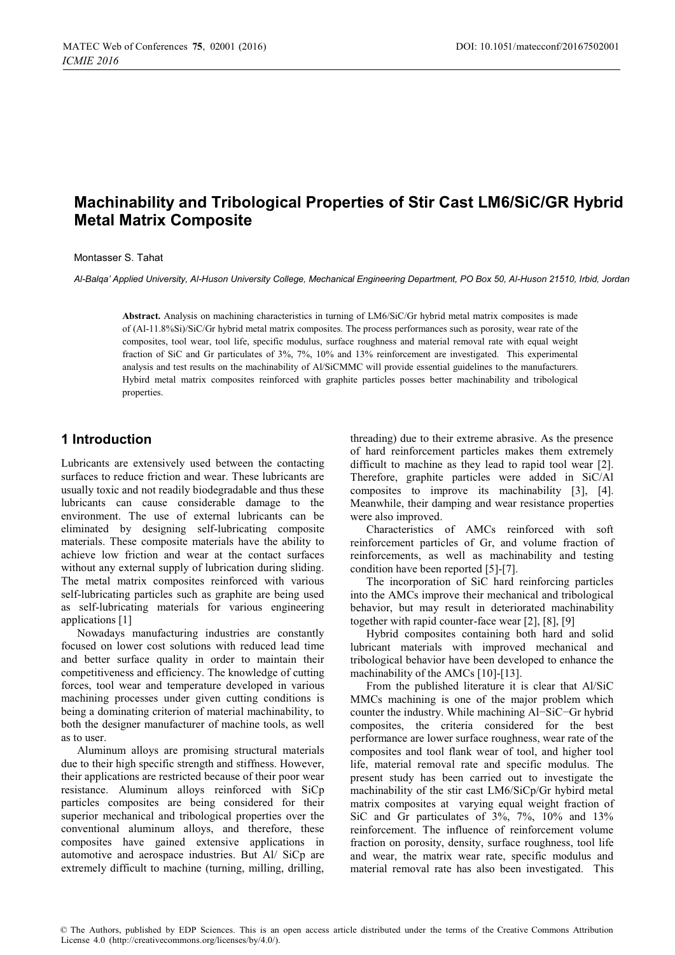# **Machinability and Tribological Properties of Stir Cast LM6/SiC/GR Hybrid Metal Matrix Composite**

#### Montasser S. Tahat

*Al-Balqa' Applied University, Al-Huson University College, Mechanical Engineering Department, PO Box 50, Al-Huson 21510, Irbid, Jordan* 

**Abstract.** Analysis on machining characteristics in turning of LM6/SiC/Gr hybrid metal matrix composites is made of (Al-11.8%Si)/SiC/Gr hybrid metal matrix composites. The process performances such as porosity, wear rate of the composites, tool wear, tool life, specific modulus, surface roughness and material removal rate with equal weight fraction of SiC and Gr particulates of 3%, 7%, 10% and 13% reinforcement are investigated. This experimental analysis and test results on the machinability of Al/SiCMMC will provide essential guidelines to the manufacturers. Hybird metal matrix composites reinforced with graphite particles posses better machinability and tribological properties.

## **1 Introduction**

Lubricants are extensively used between the contacting surfaces to reduce friction and wear. These lubricants are usually toxic and not readily biodegradable and thus these lubricants can cause considerable damage to the environment. The use of external lubricants can be eliminated by designing self-lubricating composite materials. These composite materials have the ability to achieve low friction and wear at the contact surfaces without any external supply of lubrication during sliding. The metal matrix composites reinforced with various self-lubricating particles such as graphite are being used as self-lubricating materials for various engineering applications [1]

Nowadays manufacturing industries are constantly focused on lower cost solutions with reduced lead time and better surface quality in order to maintain their competitiveness and efficiency. The knowledge of cutting forces, tool wear and temperature developed in various machining processes under given cutting conditions is being a dominating criterion of material machinability, to both the designer manufacturer of machine tools, as well as to user.

Aluminum alloys are promising structural materials due to their high specific strength and stiffness. However, their applications are restricted because of their poor wear resistance. Aluminum alloys reinforced with SiCp particles composites are being considered for their superior mechanical and tribological properties over the conventional aluminum alloys, and therefore, these composites have gained extensive applications in automotive and aerospace industries. But Al/ SiCp are extremely difficult to machine (turning, milling, drilling,

threading) due to their extreme abrasive. As the presence of hard reinforcement particles makes them extremely difficult to machine as they lead to rapid tool wear [2]. Therefore, graphite particles were added in SiC/Al composites to improve its machinability [3], [4]. Meanwhile, their damping and wear resistance properties were also improved.

Characteristics of AMCs reinforced with soft reinforcement particles of Gr, and volume fraction of reinforcements, as well as machinability and testing condition have been reported [5]-[7].

The incorporation of SiC hard reinforcing particles into the AMCs improve their mechanical and tribological behavior, but may result in deteriorated machinability together with rapid counter-face wear [2], [8], [9]

Hybrid composites containing both hard and solid lubricant materials with improved mechanical and tribological behavior have been developed to enhance the machinability of the AMCs [10]-[13].

From the published literature it is clear that Al/SiC MMCs machining is one of the major problem which counter the industry. While machining Al−SiC−Gr hybrid composites, the criteria considered for the best performance are lower surface roughness, wear rate of the composites and tool flank wear of tool, and higher tool life, material removal rate and specific modulus. The present study has been carried out to investigate the machinability of the stir cast LM6/SiCp/Gr hybird metal matrix composites at varying equal weight fraction of SiC and Gr particulates of 3%, 7%, 10% and 13% reinforcement. The influence of reinforcement volume fraction on porosity, density, surface roughness, tool life and wear, the matrix wear rate, specific modulus and material removal rate has also been investigated. This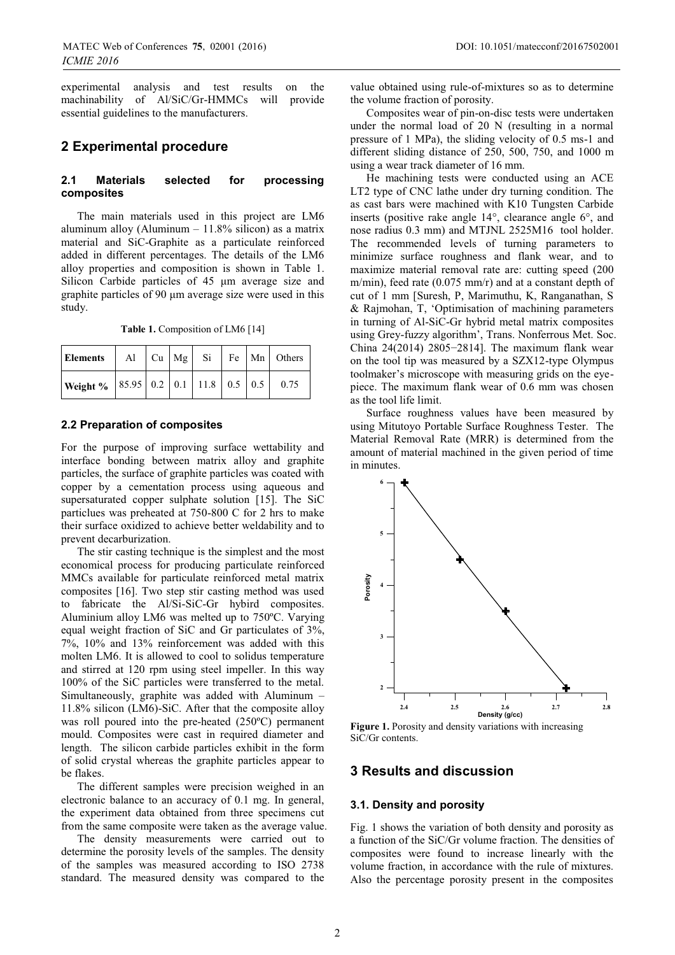experimental analysis and test results on the machinability of Al/SiC/Gr-HMMCs will provide essential guidelines to the manufacturers.

## **2 Experimental procedure**

*ICMIE 2016*

#### **2.1 Materials selected for processing composites**

The main materials used in this project are LM6 aluminum alloy (Aluminum  $-11.8\%$  silicon) as a matrix material and SiC-Graphite as a particulate reinforced added in different percentages. The details of the LM6 alloy properties and composition is shown in Table 1. Silicon Carbide particles of 45 μm average size and graphite particles of 90 μm average size were used in this study.

Table 1. Composition of LM6 [14]

| <b>Elements</b>                                        |  |  |  | Al $ Cu Mg $ Si $ Fe Mn $ Others |
|--------------------------------------------------------|--|--|--|----------------------------------|
| <b>Weight</b> %   85.95   0.2   0.1   11.8   0.5   0.5 |  |  |  | 0.75                             |

#### **2.2 Preparation of composites**

For the purpose of improving surface wettability and interface bonding between matrix alloy and graphite particles, the surface of graphite particles was coated with copper by a cementation process using aqueous and supersaturated copper sulphate solution [15]. The SiC particlues was preheated at 750-800 C for 2 hrs to make their surface oxidized to achieve better weldability and to prevent decarburization.

The stir casting technique is the simplest and the most economical process for producing particulate reinforced MMCs available for particulate reinforced metal matrix composites [16]. Two step stir casting method was used to fabricate the Al/Si-SiC-Gr hybird composites. Aluminium alloy LM6 was melted up to 750ºC. Varying equal weight fraction of SiC and Gr particulates of 3%, 7%, 10% and 13% reinforcement was added with this molten LM6. It is allowed to cool to solidus temperature and stirred at 120 rpm using steel impeller. In this way 100% of the SiC particles were transferred to the metal. Simultaneously, graphite was added with Aluminum – 11.8% silicon (LM6)-SiC. After that the composite alloy was roll poured into the pre-heated (250ºC) permanent mould. Composites were cast in required diameter and length. The silicon carbide particles exhibit in the form of solid crystal whereas the graphite particles appear to be flakes.

The different samples were precision weighed in an electronic balance to an accuracy of 0.1 mg. In general, the experiment data obtained from three specimens cut from the same composite were taken as the average value.

The density measurements were carried out to determine the porosity levels of the samples. The density of the samples was measured according to ISO 2738 standard. The measured density was compared to the

value obtained using rule-of-mixtures so as to determine the volume fraction of porosity.

Composites wear of pin-on-disc tests were undertaken under the normal load of 20 N (resulting in a normal pressure of 1 MPa), the sliding velocity of 0.5 ms-1 and different sliding distance of 250, 500, 750, and 1000 m using a wear track diameter of 16 mm.

He machining tests were conducted using an ACE LT2 type of CNC lathe under dry turning condition. The as cast bars were machined with K10 Tungsten Carbide inserts (positive rake angle 14°, clearance angle 6°, and nose radius 0.3 mm) and MTJNL 2525M16 tool holder. The recommended levels of turning parameters to minimize surface roughness and flank wear, and to maximize material removal rate are: cutting speed (200 m/min), feed rate (0.075 mm/r) and at a constant depth of cut of 1 mm [Suresh, P, Marimuthu, K, Ranganathan, S & Rajmohan, T, 'Optimisation of machining parameters in turning of Al-SiC-Gr hybrid metal matrix composites using Grey-fuzzy algorithm', Trans. Nonferrous Met. Soc. China 24(2014) 2805−2814]. The maximum flank wear on the tool tip was measured by a SZX12-type Olympus toolmaker's microscope with measuring grids on the eyepiece. The maximum flank wear of 0.6 mm was chosen as the tool life limit.

Surface roughness values have been measured by using Mitutoyo Portable Surface Roughness Tester. The Material Removal Rate (MRR) is determined from the amount of material machined in the given period of time in minutes.



**Figure 1.** Porosity and density variations with increasing SiC/Gr contents.

# **3 Results and discussion**

#### **3.1. Density and porosity**

Fig. 1 shows the variation of both density and porosity as a function of the SiC/Gr volume fraction. The densities of composites were found to increase linearly with the volume fraction, in accordance with the rule of mixtures. Also the percentage porosity present in the composites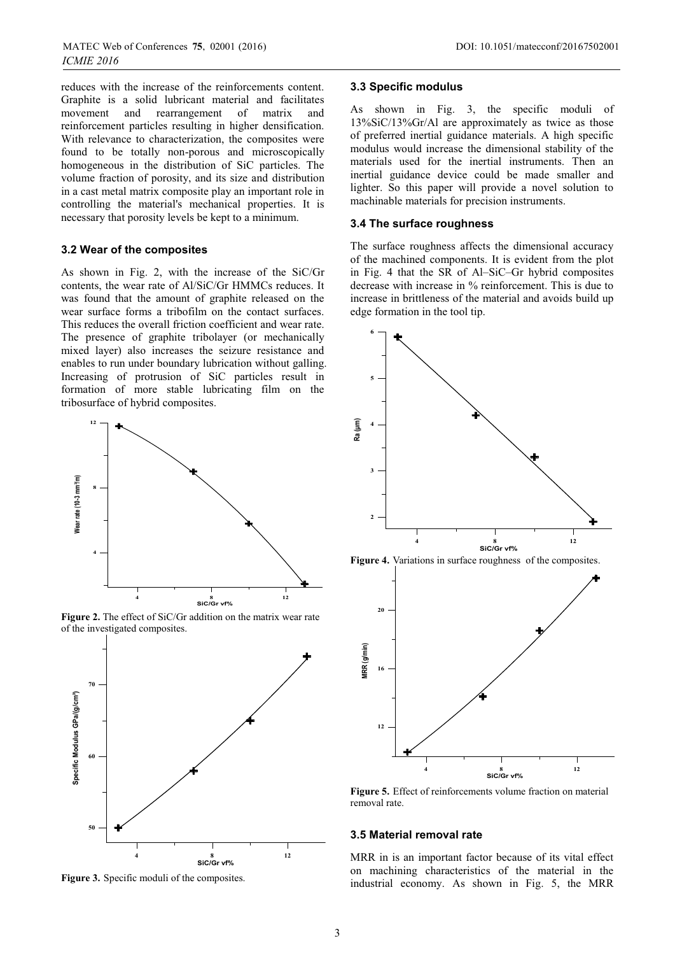*ICMIE 2016*

reduces with the increase of the reinforcements content. Graphite is a solid lubricant material and facilitates movement and rearrangement of matrix and reinforcement particles resulting in higher densification. With relevance to characterization, the composites were found to be totally non-porous and microscopically homogeneous in the distribution of SiC particles. The volume fraction of porosity, and its size and distribution in a cast metal matrix composite play an important role in controlling the material's mechanical properties. It is necessary that porosity levels be kept to a minimum.

#### **3.2 Wear of the composites**

As shown in Fig. 2, with the increase of the SiC/Gr contents, the wear rate of Al/SiC/Gr HMMCs reduces. It was found that the amount of graphite released on the wear surface forms a tribofilm on the contact surfaces. This reduces the overall friction coefficient and wear rate. The presence of graphite tribolayer (or mechanically mixed layer) also increases the seizure resistance and enables to run under boundary lubrication without galling. Increasing of protrusion of SiC particles result in formation of more stable lubricating film on the tribosurface of hybrid composites.



**Figure 2.** The effect of SiC/Gr addition on the matrix wear rate of the investigated composites.



**Figure 3.** Specific moduli of the composites.

#### **3.3 Specific modulus**

As shown in Fig. 3, the specific moduli of 13%SiC/13%Gr/Al are approximately as twice as those of preferred inertial guidance materials. A high specific modulus would increase the dimensional stability of the materials used for the inertial instruments. Then an inertial guidance device could be made smaller and lighter. So this paper will provide a novel solution to machinable materials for precision instruments.

#### **3.4 The surface roughness**

The surface roughness affects the dimensional accuracy of the machined components. It is evident from the plot in Fig. 4 that the SR of Al–SiC–Gr hybrid composites decrease with increase in % reinforcement. This is due to increase in brittleness of the material and avoids build up edge formation in the tool tip.



**Figure 4.** Variations in surface roughness of the composites.



**Figure 5.** Effect of reinforcements volume fraction on material removal rate.

#### **3.5 Material removal rate**

MRR in is an important factor because of its vital effect on machining characteristics of the material in the industrial economy. As shown in Fig. 5, the MRR